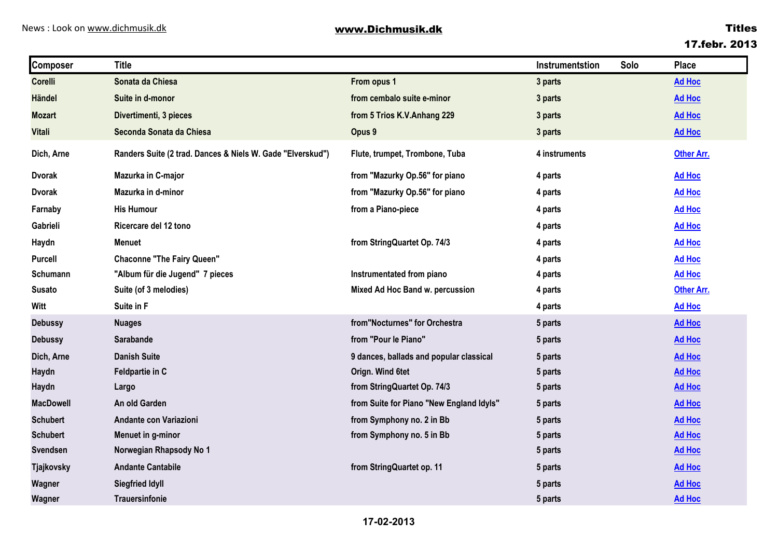| <b>Composer</b>   | <b>Title</b>                                               |                                          | Instrumentstion | Solo | <b>Place</b>      |
|-------------------|------------------------------------------------------------|------------------------------------------|-----------------|------|-------------------|
| <b>Corelli</b>    | Sonata da Chiesa                                           | From opus 1                              | 3 parts         |      | <b>Ad Hoc</b>     |
| <b>Händel</b>     | Suite in d-monor                                           | from cembalo suite e-minor               | 3 parts         |      | <b>Ad Hoc</b>     |
| <b>Mozart</b>     | Divertimenti, 3 pieces                                     | from 5 Trios K.V.Anhang 229              | 3 parts         |      | <b>Ad Hoc</b>     |
| <b>Vitali</b>     | Seconda Sonata da Chiesa                                   | Opus 9                                   | 3 parts         |      | <b>Ad Hoc</b>     |
| Dich, Arne        | Randers Suite (2 trad. Dances & Niels W. Gade "Elverskud") | Flute, trumpet, Trombone, Tuba           | 4 instruments   |      | <b>Other Arr.</b> |
| <b>Dvorak</b>     | Mazurka in C-major                                         | from "Mazurky Op.56" for piano           | 4 parts         |      | <b>Ad Hoc</b>     |
| <b>Dvorak</b>     | Mazurka in d-minor                                         | from "Mazurky Op.56" for piano           | 4 parts         |      | <b>Ad Hoc</b>     |
| Farnaby           | <b>His Humour</b>                                          | from a Piano-piece                       | 4 parts         |      | <b>Ad Hoc</b>     |
| Gabrieli          | Ricercare del 12 tono                                      |                                          | 4 parts         |      | <b>Ad Hoc</b>     |
| Haydn             | <b>Menuet</b>                                              | from StringQuartet Op. 74/3              | 4 parts         |      | <b>Ad Hoc</b>     |
| Purcell           | <b>Chaconne "The Fairy Queen"</b>                          |                                          | 4 parts         |      | <b>Ad Hoc</b>     |
| Schumann          | "Album für die Jugend" 7 pieces                            | Instrumentated from piano                | 4 parts         |      | <b>Ad Hoc</b>     |
| <b>Susato</b>     | Suite (of 3 melodies)                                      | Mixed Ad Hoc Band w. percussion          | 4 parts         |      | <b>Other Arr.</b> |
| Witt              | Suite in F                                                 |                                          | 4 parts         |      | <b>Ad Hoc</b>     |
| <b>Debussy</b>    | <b>Nuages</b>                                              | from"Nocturnes" for Orchestra            | 5 parts         |      | <b>Ad Hoc</b>     |
| <b>Debussy</b>    | Sarabande                                                  | from "Pour le Piano"                     | 5 parts         |      | <b>Ad Hoc</b>     |
| Dich, Arne        | <b>Danish Suite</b>                                        | 9 dances, ballads and popular classical  | 5 parts         |      | <b>Ad Hoc</b>     |
| Haydn             | Feldpartie in C                                            | Orign. Wind 6tet                         | 5 parts         |      | <b>Ad Hoc</b>     |
| Haydn             | Largo                                                      | from StringQuartet Op. 74/3              | 5 parts         |      | <b>Ad Hoc</b>     |
| <b>MacDowell</b>  | An old Garden                                              | from Suite for Piano "New England Idyls" | 5 parts         |      | <b>Ad Hoc</b>     |
| <b>Schubert</b>   | Andante con Variazioni                                     | from Symphony no. 2 in Bb                | 5 parts         |      | <b>Ad Hoc</b>     |
| <b>Schubert</b>   | Menuet in g-minor                                          | from Symphony no. 5 in Bb                | 5 parts         |      | <b>Ad Hoc</b>     |
| <b>Svendsen</b>   | Norwegian Rhapsody No 1                                    |                                          | 5 parts         |      | <b>Ad Hoc</b>     |
| <b>Tjajkovsky</b> | <b>Andante Cantabile</b>                                   | from StringQuartet op. 11                | 5 parts         |      | <b>Ad Hoc</b>     |
| Wagner            | <b>Siegfried Idyll</b>                                     |                                          | 5 parts         |      | <b>Ad Hoc</b>     |
| Wagner            | Trauersinfonie                                             |                                          | 5 parts         |      | <b>Ad Hoc</b>     |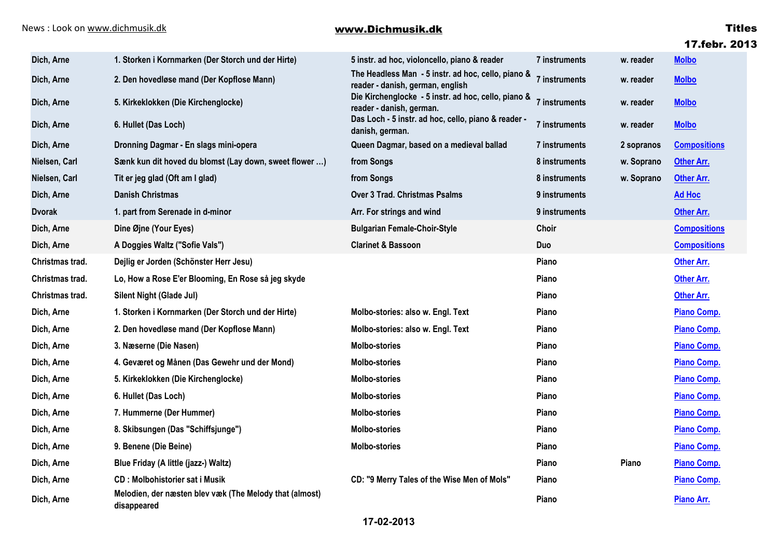|                 |                                                                        |                                                                                        |               |            | 17.febr. 2013       |
|-----------------|------------------------------------------------------------------------|----------------------------------------------------------------------------------------|---------------|------------|---------------------|
| Dich, Arne      | 1. Storken i Kornmarken (Der Storch und der Hirte)                     | 5 instr. ad hoc, violoncello, piano & reader                                           | 7 instruments | w. reader  | <b>Molbo</b>        |
| Dich, Arne      | 2. Den hovedløse mand (Der Kopflose Mann)                              | The Headless Man - 5 instr. ad hoc, cello, piano &<br>reader - danish, german, english | 7 instruments | w. reader  | <b>Molbo</b>        |
| Dich, Arne      | 5. Kirkeklokken (Die Kirchenglocke)                                    | Die Kirchenglocke - 5 instr. ad hoc, cello, piano &<br>reader - danish, german.        | 7 instruments | w. reader  | <b>Molbo</b>        |
| Dich, Arne      | 6. Hullet (Das Loch)                                                   | Das Loch - 5 instr. ad hoc, cello, piano & reader -<br>danish, german.                 | 7 instruments | w. reader  | <b>Molbo</b>        |
| Dich, Arne      | Dronning Dagmar - En slags mini-opera                                  | Queen Dagmar, based on a medieval ballad                                               | 7 instruments | 2 sopranos | <b>Compositions</b> |
| Nielsen, Carl   | Sænk kun dit hoved du blomst (Lay down, sweet flower )                 | from Songs                                                                             | 8 instruments | w. Soprano | <b>Other Arr.</b>   |
| Nielsen, Carl   | Tit er jeg glad (Oft am I glad)                                        | from Songs                                                                             | 8 instruments | w. Soprano | <b>Other Arr.</b>   |
| Dich, Arne      | <b>Danish Christmas</b>                                                | <b>Over 3 Trad. Christmas Psalms</b>                                                   | 9 instruments |            | <b>Ad Hoc</b>       |
| <b>Dvorak</b>   | 1. part from Serenade in d-minor                                       | Arr. For strings and wind                                                              | 9 instruments |            | <b>Other Arr.</b>   |
| Dich, Arne      | Dine Øjne (Your Eyes)                                                  | <b>Bulgarian Female-Choir-Style</b>                                                    | Choir         |            | <b>Compositions</b> |
| Dich, Arne      | A Doggies Waltz ("Sofie Vals")                                         | <b>Clarinet &amp; Bassoon</b>                                                          | <b>Duo</b>    |            | <b>Compositions</b> |
| Christmas trad. | Dejlig er Jorden (Schönster Herr Jesu)                                 |                                                                                        | Piano         |            | <b>Other Arr.</b>   |
| Christmas trad. | Lo, How a Rose E'er Blooming, En Rose så jeg skyde                     |                                                                                        | Piano         |            | <b>Other Arr.</b>   |
| Christmas trad. | Silent Night (Glade Jul)                                               |                                                                                        | Piano         |            | <b>Other Arr.</b>   |
| Dich, Arne      | 1. Storken i Kornmarken (Der Storch und der Hirte)                     | Molbo-stories: also w. Engl. Text                                                      | Piano         |            | <b>Piano Comp.</b>  |
| Dich, Arne      | 2. Den hovedløse mand (Der Kopflose Mann)                              | Molbo-stories: also w. Engl. Text                                                      | Piano         |            | <b>Piano Comp.</b>  |
| Dich, Arne      | 3. Næserne (Die Nasen)                                                 | <b>Molbo-stories</b>                                                                   | Piano         |            | <b>Piano Comp.</b>  |
| Dich, Arne      | 4. Geværet og Månen (Das Gewehr und der Mond)                          | <b>Molbo-stories</b>                                                                   | Piano         |            | <b>Piano Comp.</b>  |
| Dich, Arne      | 5. Kirkeklokken (Die Kirchenglocke)                                    | <b>Molbo-stories</b>                                                                   | Piano         |            | <b>Piano Comp.</b>  |
| Dich, Arne      | 6. Hullet (Das Loch)                                                   | <b>Molbo-stories</b>                                                                   | Piano         |            | <b>Piano Comp.</b>  |
| Dich, Arne      | 7. Hummerne (Der Hummer)                                               | <b>Molbo-stories</b>                                                                   | Piano         |            | <b>Piano Comp.</b>  |
| Dich, Arne      | 8. Skibsungen (Das "Schiffsjunge")                                     | <b>Molbo-stories</b>                                                                   | Piano         |            | <b>Piano Comp.</b>  |
| Dich, Arne      | 9. Benene (Die Beine)                                                  | <b>Molbo-stories</b>                                                                   | Piano         |            | <b>Piano Comp.</b>  |
| Dich, Arne      | Blue Friday (A little (jazz-) Waltz)                                   |                                                                                        | Piano         | Piano      | <b>Piano Comp.</b>  |
| Dich, Arne      | <b>CD: Molbohistorier sat i Musik</b>                                  | CD: "9 Merry Tales of the Wise Men of Mols"                                            | Piano         |            | <b>Piano Comp.</b>  |
| Dich, Arne      | Melodien, der næsten blev væk (The Melody that (almost)<br>disappeared |                                                                                        | Piano         |            | Piano Arr.          |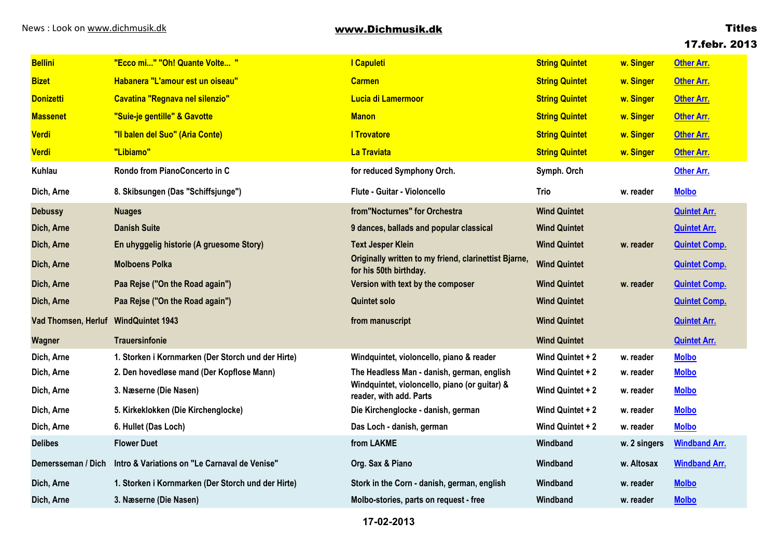## **17.febr. 2013**

| <b>Bellini</b>             | "Ecco mi" "Oh! Quante Volte "                      | I Capuleti                                                                      | <b>String Quintet</b> | w. Singer    | <b>Other Arr.</b>    |
|----------------------------|----------------------------------------------------|---------------------------------------------------------------------------------|-----------------------|--------------|----------------------|
| <b>Bizet</b>               | Habanera "L'amour est un oiseau"                   | <b>Carmen</b>                                                                   | <b>String Quintet</b> | w. Singer    | <b>Other Arr.</b>    |
| <b>Donizetti</b>           | Cavatina "Regnava nel silenzio"                    | Lucia di Lamermoor                                                              | <b>String Quintet</b> | w. Singer    | <b>Other Arr.</b>    |
| <b>Massenet</b>            | "Suie-je gentille" & Gavotte                       | <b>Manon</b>                                                                    | <b>String Quintet</b> | w. Singer    | <b>Other Arr.</b>    |
| <b>Verdi</b>               | "Il balen del Suo" (Aria Conte)                    | <b>I Trovatore</b>                                                              | <b>String Quintet</b> | w. Singer    | <b>Other Arr.</b>    |
| <b>Verdi</b>               | "Libiamo"                                          | La Traviata                                                                     | <b>String Quintet</b> | w. Singer    | <b>Other Arr.</b>    |
| <b>Kuhlau</b>              | Rondo from PianoConcerto in C                      | for reduced Symphony Orch.                                                      | Symph. Orch           |              | <b>Other Arr.</b>    |
| Dich, Arne                 | 8. Skibsungen (Das "Schiffsjunge")                 | <b>Flute - Guitar - Violoncello</b>                                             | Trio                  | w. reader    | <b>Molbo</b>         |
| <b>Debussy</b>             | <b>Nuages</b>                                      | from"Nocturnes" for Orchestra                                                   | <b>Wind Quintet</b>   |              | <b>Quintet Arr.</b>  |
| Dich, Arne                 | <b>Danish Suite</b>                                | 9 dances, ballads and popular classical                                         | <b>Wind Quintet</b>   |              | <b>Quintet Arr.</b>  |
| Dich, Arne                 | En uhyggelig historie (A gruesome Story)           | <b>Text Jesper Klein</b>                                                        | <b>Wind Quintet</b>   | w. reader    | <b>Quintet Comp.</b> |
| Dich, Arne                 | <b>Molboens Polka</b>                              | Originally written to my friend, clarinettist Bjarne,<br>for his 50th birthday. | <b>Wind Quintet</b>   |              | <b>Quintet Comp.</b> |
| Dich, Arne                 | Paa Rejse ("On the Road again")                    | Version with text by the composer                                               | <b>Wind Quintet</b>   | w. reader    | <b>Quintet Comp.</b> |
| Dich, Arne                 | Paa Rejse ("On the Road again")                    | <b>Quintet solo</b>                                                             | <b>Wind Quintet</b>   |              | <b>Quintet Comp.</b> |
| <b>Vad Thomsen, Herluf</b> | <b>WindQuintet 1943</b>                            | from manuscript                                                                 | <b>Wind Quintet</b>   |              | <b>Quintet Arr.</b>  |
| Wagner                     | <b>Trauersinfonie</b>                              |                                                                                 | <b>Wind Quintet</b>   |              | <b>Quintet Arr.</b>  |
| Dich, Arne                 | 1. Storken i Kornmarken (Der Storch und der Hirte) | Windquintet, violoncello, piano & reader                                        | Wind Quintet + 2      | w. reader    | <b>Molbo</b>         |
| Dich, Arne                 | 2. Den hovedløse mand (Der Kopflose Mann)          | The Headless Man - danish, german, english                                      | Wind Quintet + 2      | w. reader    | <b>Molbo</b>         |
| Dich, Arne                 | 3. Næserne (Die Nasen)                             | Windquintet, violoncello, piano (or guitar) &<br>reader, with add. Parts        | Wind Quintet + 2      | w. reader    | <b>Molbo</b>         |
| Dich, Arne                 | 5. Kirkeklokken (Die Kirchenglocke)                | Die Kirchenglocke - danish, german                                              | Wind Quintet + 2      | w. reader    | <b>Molbo</b>         |
| Dich, Arne                 | 6. Hullet (Das Loch)                               | Das Loch - danish, german                                                       | Wind Quintet + 2      | w. reader    | <b>Molbo</b>         |
| <b>Delibes</b>             | <b>Flower Duet</b>                                 | from LAKME                                                                      | Windband              | w. 2 singers | <b>Windband Arr.</b> |
| Demersseman / Dich         | Intro & Variations on "Le Carnaval de Venise"      | Org. Sax & Piano                                                                | Windband              | w. Altosax   | <b>Windband Arr.</b> |
| Dich, Arne                 | 1. Storken i Kornmarken (Der Storch und der Hirte) | Stork in the Corn - danish, german, english                                     | Windband              | w. reader    | <b>Molbo</b>         |
| Dich, Arne                 | 3. Næserne (Die Nasen)                             | Molbo-stories, parts on request - free                                          | Windband              | w. reader    | <b>Molbo</b>         |